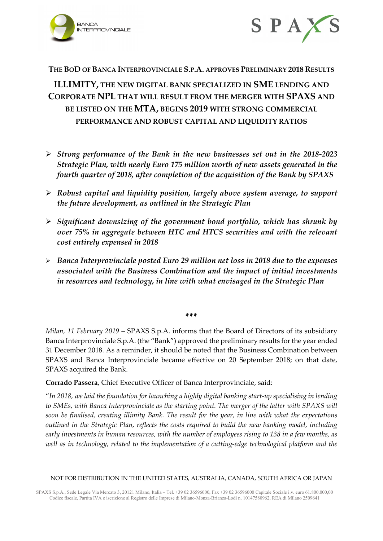



## **THE BOD OF BANCA INTERPROVINCIALE S.P.A. APPROVES PRELIMINARY 2018 RESULTS**

**ILLIMITY, THE NEW DIGITAL BANK SPECIALIZED IN SME LENDING AND CORPORATE NPL THAT WILL RESULT FROM THE MERGER WITH SPAXS AND BE LISTED ON THE MTA, BEGINS 2019 WITH STRONG COMMERCIAL PERFORMANCE AND ROBUST CAPITAL AND LIQUIDITY RATIOS**

- *Strong performance of the Bank in the new businesses set out in the 2018-2023 Strategic Plan, with nearly Euro 175 million worth of new assets generated in the fourth quarter of 2018, after completion of the acquisition of the Bank by SPAXS*
- *Robust capital and liquidity position, largely above system average, to support the future development, as outlined in the Strategic Plan*
- *Significant downsizing of the government bond portfolio, which has shrunk by over 75% in aggregate between HTC and HTCS securities and with the relevant cost entirely expensed in 2018*
- *Banca Interprovinciale posted Euro 29 million net loss in 2018 due to the expenses associated with the Business Combination and the impact of initial investments in resources and technology, in line with what envisaged in the Strategic Plan*

**\*\*\***

*Milan, 11 February 2019* – SPAXS S.p.A. informs that the Board of Directors of its subsidiary Banca Interprovinciale S.p.A. (the "Bank") approved the preliminary results for the year ended 31 December 2018. As a reminder, it should be noted that the Business Combination between SPAXS and Banca Interprovinciale became effective on 20 September 2018; on that date, SPAXS acquired the Bank.

**Corrado Passera**, Chief Executive Officer of Banca Interprovinciale, said:

"*In 2018, we laid the foundation for launching a highly digital banking start-up specialising in lending to SMEs, with Banca Interprovinciale as the starting point. The merger of the latter with SPAXS will soon be finalised, creating illimity Bank. The result for the year, in line with what the expectations outlined in the Strategic Plan, reflects the costs required to build the new banking model, including early investments in human resources, with the number of employees rising to 138 in a few months, as well as in technology, related to the implementation of a cutting-edge technological platform and the*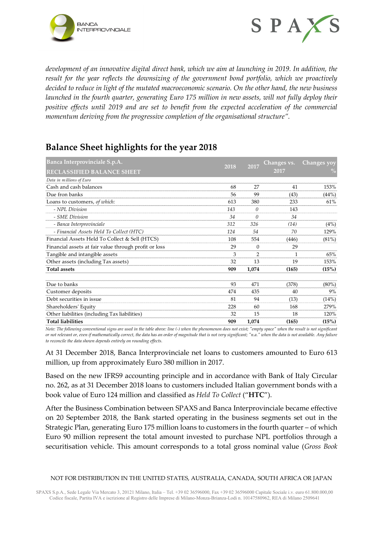



*development of an innovative digital direct bank, which we aim at launching in 2019. In addition, the result for the year reflects the downsizing of the government bond portfolio, which we proactively decided to reduce in light of the mutated macroeconomic scenario. On the other hand, the new business launched in the fourth quarter, generating Euro 175 million in new assets, will not fully deploy their*  positive effects until 2019 and are set to benefit from the expected acceleration of the commercial *momentum deriving from the progressive completion of the organisational structure".*

# **Balance Sheet highlights for the year 2018**

| Banca Interprovinciale S.p.A.                         |      | 2017           | Changes vs. | Changes yoy   |
|-------------------------------------------------------|------|----------------|-------------|---------------|
| <b>RECLASSIFIED BALANCE SHEET</b>                     | 2018 |                | 2017        | $\frac{0}{0}$ |
| Data in millions of Euro                              |      |                |             |               |
| Cash and cash balances                                | 68   | 27             | 41          | 153%          |
| Due fron banks                                        | 56   | 99             | (43)        | (44%)         |
| Loans to customers, of which:                         | 613  | 380            | 233         | 61%           |
| - NPL Division                                        | 143  | 0              | 143         |               |
| - SME Division                                        | 34   | 0              | 34          |               |
| - Banca Interprovinciale                              | 312  | 326            | (14)        | (4%)          |
| - Financial Assets Held To Collect (HTC)              | 124  | 54             | 70          | 129%          |
| Financial Assets Held To Collect & Sell (HTCS)        | 108  | 554            | (446)       | (81%)         |
| Financial assets at fair value through profit or loss | 29   | $\mathbf{0}$   | 29          |               |
| Tangible and intangible assets                        | 3    | $\overline{2}$ | 1           | 65%           |
| Other assets (including Tax assets)                   | 32   | 13             | 19          | 153%          |
| <b>Total assets</b>                                   | 909  | 1,074          | (165)       | (15%)         |
| Due to banks                                          | 93   | 471            | (378)       | $(80\%)$      |
| Customer deposits                                     | 474  | 435            | 40          | 9%            |
| Debt securities in issue                              | 81   | 94             | (13)        | (14%)         |
| Shareholders' Equity                                  | 228  | 60             | 168         | 279%          |
| Other liabilities (including Tax liabilities)         | 32   | 15             | 18          | 120%          |
| <b>Total liabilities</b>                              | 909  | 1,074          | (165)       | (15%)         |

*Note: The following conventional signs are used in the table above: line (-) when the phenomenon does not exist; "empty space" when the result is not significant or not relevant or, even if mathematically correct, the data has an order of magnitude that is not very significant; "n.a." when the data is not available. Any failure to reconcile the data shown depends entirely on rounding effects.*

At 31 December 2018, Banca Interprovinciale net loans to customers amounted to Euro 613 million, up from approximately Euro 380 million in 2017.

Based on the new IFRS9 accounting principle and in accordance with Bank of Italy Circular no. 262, as at 31 December 2018 loans to customers included Italian government bonds with a book value of Euro 124 million and classified as *Held To Collect* ("**HTC**").

After the Business Combination between SPAXS and Banca Interprovinciale became effective on 20 September 2018, the Bank started operating in the business segments set out in the Strategic Plan, generating Euro 175 million loans to customers in the fourth quarter – of which Euro 90 million represent the total amount invested to purchase NPL portfolios through a securitisation vehicle. This amount corresponds to a total gross nominal value (*Gross Book*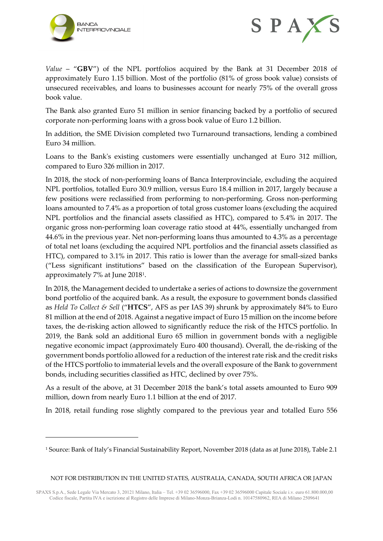

-



*Value* – "**GBV**") of the NPL portfolios acquired by the Bank at 31 December 2018 of approximately Euro 1.15 billion. Most of the portfolio (81% of gross book value) consists of unsecured receivables, and loans to businesses account for nearly 75% of the overall gross book value.

The Bank also granted Euro 51 million in senior financing backed by a portfolio of secured corporate non-performing loans with a gross book value of Euro 1.2 billion.

In addition, the SME Division completed two Turnaround transactions, lending a combined Euro 34 million.

Loans to the Bank's existing customers were essentially unchanged at Euro 312 million, compared to Euro 326 million in 2017.

In 2018, the stock of non-performing loans of Banca Interprovinciale, excluding the acquired NPL portfolios, totalled Euro 30.9 million, versus Euro 18.4 million in 2017, largely because a few positions were reclassified from performing to non-performing. Gross non-performing loans amounted to 7.4% as a proportion of total gross customer loans (excluding the acquired NPL portfolios and the financial assets classified as HTC), compared to 5.4% in 2017. The organic gross non-performing loan coverage ratio stood at 44%, essentially unchanged from 44.6% in the previous year. Net non-performing loans thus amounted to 4.3% as a percentage of total net loans (excluding the acquired NPL portfolios and the financial assets classified as HTC), compared to 3.1% in 2017. This ratio is lower than the average for small-sized banks ("Less significant institutions" based on the classification of the European Supervisor), approximately 7% at June 2018[1.](#page-2-0)

In 2018, the Management decided to undertake a series of actions to downsize the government bond portfolio of the acquired bank. As a result, the exposure to government bonds classified as *Held To Collect & Sell* ("**HTCS**", AFS as per IAS 39) shrunk by approximately 84% to Euro 81 million at the end of 2018. Against a negative impact of Euro 15 million on the income before taxes, the de-risking action allowed to significantly reduce the risk of the HTCS portfolio. In 2019, the Bank sold an additional Euro 65 million in government bonds with a negligible negative economic impact (approximately Euro 400 thousand). Overall, the de-risking of the government bonds portfolio allowed for a reduction of the interest rate risk and the credit risks of the HTCS portfolio to immaterial levels and the overall exposure of the Bank to government bonds, including securities classified as HTC, declined by over 75%.

As a result of the above, at 31 December 2018 the bank's total assets amounted to Euro 909 million, down from nearly Euro 1.1 billion at the end of 2017.

In 2018, retail funding rose slightly compared to the previous year and totalled Euro 556

<span id="page-2-0"></span><sup>1</sup> Source: Bank of Italy's Financial Sustainability Report, November 2018 (data as at June 2018), Table 2.1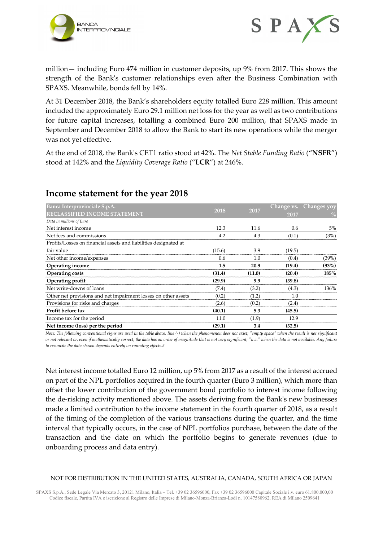



million— including Euro 474 million in customer deposits, up 9% from 2017. This shows the strength of the Bank's customer relationships even after the Business Combination with SPAXS. Meanwhile, bonds fell by 14%.

At 31 December 2018, the Bank's shareholders equity totalled Euro 228 million. This amount included the approximately Euro 29.1 million net loss for the year as well as two contributions for future capital increases, totalling a combined Euro 200 million, that SPAXS made in September and December 2018 to allow the Bank to start its new operations while the merger was not yet effective.

At the end of 2018, the Bank's CET1 ratio stood at 42%. The *Net Stable Funding Ratio* ("**NSFR**") stood at 142% and the *Liquidity Coverage Ratio* ("**LCR**") at 246%.

| Banca Interprovinciale S.p.A.                                    | 2018   |        | Change vs. | <u>'Changes yoy</u> |
|------------------------------------------------------------------|--------|--------|------------|---------------------|
| <b>RECLASSIFIED INCOME STATEMENT</b>                             |        | 2017   | 2017       |                     |
| Data in millions of Euro                                         |        |        |            |                     |
| Net interest income                                              | 12 Z   | 11 6   |            | 5%                  |
| Net fees and commissions                                         |        |        | (0.1)      | (3%)                |
| Profits/Losses on financial assets and liabilities designated at |        |        |            |                     |
| fair value                                                       | (15.6) | 3.9    | (19.5)     |                     |
| Net other income/expenses                                        | 06     |        | (0.4)      | (39%)               |
| Operating income                                                 | 1.5    | 20.9   | (19.4)     | (93%)               |
| Operating costs                                                  | (31.4) | (11.0) | (20.4)     | 185%                |
| Operating profit                                                 | (29.9) | 9.9    | (39.8)     |                     |
| Net write-downs of loans                                         | (7.4)  | (3.2)  | (4.3)      |                     |
| Other net provisions and net impairment losses on other assets   | (0.2)  | (1.2)  |            |                     |
| Provisions for risks and charges                                 | (2.6)  | (0.2)  | (2.4)      |                     |
| <b>Profit before tax</b>                                         | (40.1) | 5.3    | (45.5)     |                     |
| Income tax for the period                                        | 11.0   | (1.9)  | 12.9       |                     |
| Net income (loss) per the period                                 | (29.1) | 3.4    | (32.5)     |                     |

# **Income statement for the year 2018**

*Note: The following conventional signs are used in the table above: line (-) when the phenomenon does not exist; "empty space" when the result is not significant or not relevant or, even if mathematically correct, the data has an order of magnitude that is not very significant; "n.a." when the data is not available. Any failure to reconcile the data shown depends entirely on rounding effects.5*

Net interest income totalled Euro 12 million, up 5% from 2017 as a result of the interest accrued on part of the NPL portfolios acquired in the fourth quarter (Euro 3 million), which more than offset the lower contribution of the government bond portfolio to interest income following the de-risking activity mentioned above. The assets deriving from the Bank's new businesses made a limited contribution to the income statement in the fourth quarter of 2018, as a result of the timing of the completion of the various transactions during the quarter, and the time interval that typically occurs, in the case of NPL portfolios purchase, between the date of the transaction and the date on which the portfolio begins to generate revenues (due to onboarding process and data entry).

#### NOT FOR DISTRIBUTION IN THE UNITED STATES, AUSTRALIA, CANADA, SOUTH AFRICA OR JAPAN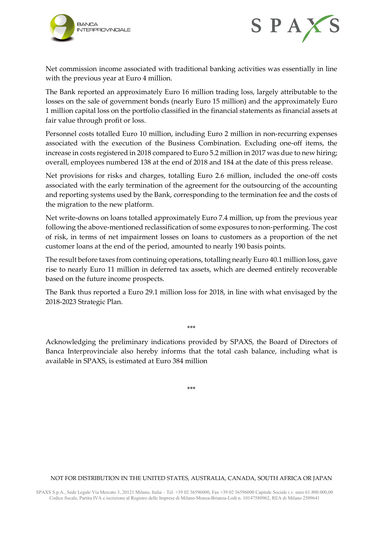



Net commission income associated with traditional banking activities was essentially in line with the previous year at Euro 4 million.

The Bank reported an approximately Euro 16 million trading loss, largely attributable to the losses on the sale of government bonds (nearly Euro 15 million) and the approximately Euro 1 million capital loss on the portfolio classified in the financial statements as financial assets at fair value through profit or loss.

Personnel costs totalled Euro 10 million, including Euro 2 million in non-recurring expenses associated with the execution of the Business Combination. Excluding one-off items, the increase in costs registered in 2018 compared to Euro 5.2 million in 2017 was due to new hiring; overall, employees numbered 138 at the end of 2018 and 184 at the date of this press release.

Net provisions for risks and charges, totalling Euro 2.6 million, included the one-off costs associated with the early termination of the agreement for the outsourcing of the accounting and reporting systems used by the Bank, corresponding to the termination fee and the costs of the migration to the new platform.

Net write-downs on loans totalled approximately Euro 7.4 million, up from the previous year following the above-mentioned reclassification of some exposures to non-performing. The cost of risk, in terms of net impairment losses on loans to customers as a proportion of the net customer loans at the end of the period, amounted to nearly 190 basis points.

The result before taxes from continuing operations, totalling nearly Euro 40.1 million loss, gave rise to nearly Euro 11 million in deferred tax assets, which are deemed entirely recoverable based on the future income prospects.

The Bank thus reported a Euro 29.1 million loss for 2018, in line with what envisaged by the 2018-2023 Strategic Plan.

\*\*\*

Acknowledging the preliminary indications provided by SPAXS, the Board of Directors of Banca Interprovinciale also hereby informs that the total cash balance, including what is available in SPAXS, is estimated at Euro 384 million

\*\*\*

#### NOT FOR DISTRIBUTION IN THE UNITED STATES, AUSTRALIA, CANADA, SOUTH AFRICA OR JAPAN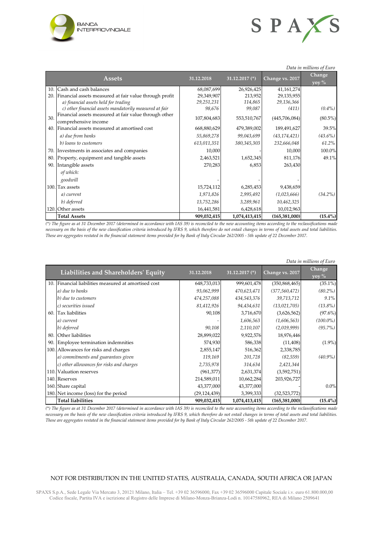



|     | Data in millions of Euro                                                      |             |                  |                 |                             |  |
|-----|-------------------------------------------------------------------------------|-------------|------------------|-----------------|-----------------------------|--|
|     | <b>Assets</b>                                                                 | 31.12.2018  | 31.12.2017 $(*)$ | Change vs. 2017 | Change<br>yoy $\frac{6}{6}$ |  |
|     | 10. Cash and cash balances                                                    | 68,087,699  | 26,926,425       | 41,161,274      |                             |  |
|     | 20. Financial assets measured at fair value through profit                    | 29,349,907  | 213,952          | 29,135,955      |                             |  |
|     | a) financial assets held for trading                                          | 29,251,231  | 114,865          | 29,136,366      |                             |  |
|     | c) other financial assets mandatorily measured at fair                        | 98,676      | 99,087           | (411)           | $(0.4\%)$                   |  |
| 30. | Financial assets measured at fair value through other<br>comprehensive income | 107,804,683 | 553,510,767      | (445,706,084)   | $(80.5\%)$                  |  |
|     | 40. Financial assets measured at amortised cost                               | 668,880,629 | 479,389,002      | 189,491,627     | 39.5%                       |  |
|     | a) due from banks                                                             | 55,869,278  | 99,043,699       | (43, 174, 421)  | $(43.6\%)$                  |  |
|     | b) loans to customers                                                         | 613,011,351 | 380,345,303      | 232,666,048     | $61.2\%$                    |  |
|     | 70. Investments in associates and companies                                   | 10,000      |                  | 10,000          | 100.0%                      |  |
| 80. | Property, equipment and tangible assets                                       | 2,463,521   | 1,652,345        | 811,176         | 49.1%                       |  |
|     | 90. Intangible assets                                                         | 270,283     | 6,853            | 263,430         |                             |  |
|     | of which:                                                                     |             |                  |                 |                             |  |
|     | goodwill                                                                      |             |                  |                 |                             |  |
|     | 100. Tax assets                                                               | 15,724,112  | 6,285,453        | 9,438,659       |                             |  |
|     | a) current                                                                    | 1,971,826   | 2,995,492        | (1,023,666)     | $(34.2\%)$                  |  |
|     | b) deferred                                                                   | 13,752,286  | 3,289,961        | 10,462,325      |                             |  |
|     | 120. Other assets                                                             | 16,441,581  | 6,428,618        | 10,012,963      |                             |  |
|     | <b>Total Assets</b>                                                           | 909,032,415 | 1,074,413,415    | (165, 381, 000) | $(15.4\%)$                  |  |

*(\*) The figure as at 31 December 2017 (determined in accordance with IAS 39) is reconciled to the new accounting items according to the reclassifications made necessary on the basis of the new classification criteria introduced by IFRS 9, which therefore do not entail changes in terms of total assets and total liabilities. These are aggregates restated in the financial statement items provided for by Bank of Italy Circular 262/2005 - 5th update of 22 December 2017.* 

|     | Data in millions of Euro                             |                |                  |                 |                 |  |
|-----|------------------------------------------------------|----------------|------------------|-----------------|-----------------|--|
|     | Liabilities and Shareholders' Equity                 | 31.12.2018     | 31.12.2017 $(*)$ | Change vs. 2017 | Change<br>yoy % |  |
|     | 10. Financial liabilities measured at amortised cost | 648,733,013    | 999,601,478      | (350, 868, 465) | $(35.1\%)$      |  |
|     | a) due to banks                                      | 93,062,999     | 470,623,471      | (377, 560, 472) | $(80.2\%)$      |  |
|     | b) due to customers                                  | 474,257,088    | 434,543,376      | 39,713,712      | $9.1\%$         |  |
|     | c) securities issued                                 | 81,412,926     | 94,434,631       | (13,021,705)    | $(13.8\%)$      |  |
|     | 60. Tax liabilities                                  | 90,108         | 3,716,670        | (3,626,562)     | (97.6%)         |  |
|     | a) current                                           |                | 1,606,563        | (1,606,563)     | $(100.0\%)$     |  |
|     | b) deferred                                          | 90,108         | 2,110,107        | (2,019,999)     | $(95.7\%)$      |  |
|     | 80. Other liabilities                                | 28,899,022     | 9,922,576        | 18,976,446      |                 |  |
| 90. | Employee termination indemnities                     | 574,930        | 586,338          | (11, 408)       | $(1.9\%)$       |  |
|     | 100. Allowances for risks and charges                | 2,855,147      | 516,362          | 2,338,785       |                 |  |
|     | a) commitments and guarantees given                  | 119,169        | 201,728          | (82, 559)       | $(40.9\%)$      |  |
|     | c) other allowances for risks and charges            | 2,735,978      | 314,634          | 2,421,344       |                 |  |
|     | 110. Valuation reserves                              | (961, 377)     | 2,631,374        | (3,592,751)     |                 |  |
|     | 140. Reserves                                        | 214,589,011    | 10,662,284       | 203,926,727     |                 |  |
|     | 160. Share capital                                   | 43,377,000     | 43,377,000       |                 | $0.0\%$         |  |
|     | 180. Net income (loss) for the period                | (29, 124, 439) | 3,399,333        | (32,523,772)    |                 |  |
|     | <b>Total liabilities</b>                             | 909,032,415    | 1,074,413,415    | (165, 381, 000) | $(15.4\%)$      |  |

*(\*) The figure as at 31 December 2017 (determined in accordance with IAS 39) is reconciled to the new accounting items according to the reclassifications made necessary on the basis of the new classification criteria introduced by IFRS 9, which therefore do not entail changes in terms of total assets and total liabilities. These are aggregates restated in the financial statement items provided for by Bank of Italy Circular 262/2005 - 5th update of 22 December 2017.* 

### NOT FOR DISTRIBUTION IN THE UNITED STATES, AUSTRALIA, CANADA, SOUTH AFRICA OR JAPAN

SPAXS S.p.A., Sede Legale Via Mercato 3, 20121 Milano, Italia – Tel. +39 02 36596000, Fax +39 02 36596000 Capitale Sociale i.v. euro 61.800.000,00 Codice fiscale, Partita IVA e iscrizione al Registro delle Imprese di Milano-Monza-Brianza-Lodi n. 10147580962, REA di Milano 2509641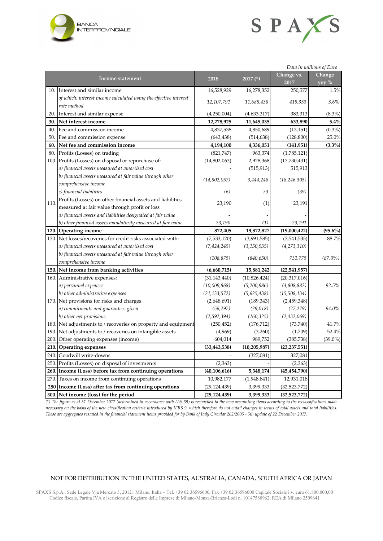



| Data in millions of Euro |                                                                   |                |                |                    |                    |
|--------------------------|-------------------------------------------------------------------|----------------|----------------|--------------------|--------------------|
|                          | <b>Income statement</b>                                           | 2018           | $2017$ (*)     | Change vs.<br>2017 | Change<br>yoy $\%$ |
|                          | 10. Interest and similar income                                   | 16,528,929     | 16,278,352     | 250,577            | 1.5%               |
|                          | of which: interest income calculated using the effective interest | 12,107,791     | 11,688,438     | 419,353            | 3.6%               |
|                          | rate method                                                       |                |                |                    |                    |
| 20.                      | Interest and similar expense                                      | (4,250,004)    | (4,633,317)    | 383,313            | $(8.3\%)$          |
|                          | 30. Net interest income                                           | 12,278,925     | 11,645,035     | 633,890            | 5.4%               |
| 40.                      | Fee and commission income                                         | 4,837,538      | 4,850,689      | (13, 151)          | $(0.3\%)$          |
| 50.                      | Fee and commission expense                                        | (643, 438)     | (514, 638)     | (128, 800)         | 25.0%              |
| 60.                      | Net fee and commission income                                     | 4,194,100      | 4,336,051      | (141, 951)         | $(3.3\%)$          |
|                          | 80. Profits (Losses) on trading                                   | (821,747)      | 963,374        | (1,785,121)        |                    |
|                          | 100. Profits (Losses) on disposal or repurchase of:               | (14, 802, 063) | 2,928,368      | (17,730,431)       |                    |
|                          | a) financial assets measured at amortised cost                    |                | (515, 913)     | 515,913            |                    |
|                          | b) financial assets measured at fair value through other          | (14,802,057)   | 3,444,248      | (18, 246, 305)     |                    |
|                          | comprehensive income                                              |                |                |                    |                    |
|                          | c) financial liabilities                                          | (6)            | 33             | (39)               |                    |
| 110.                     | Profits (Losses) on other financial assets and liabilities        | 23,190         | (1)            | 23,191             |                    |
|                          | measured at fair value through profit or loss                     |                |                |                    |                    |
|                          | a) financial assets and liabilities designated at fair value      |                |                |                    |                    |
|                          | b) other financial assets mandatorily measured at fair value      | 23,190         | (1)            | 23,191             |                    |
|                          | 120. Operating income                                             | 872,405        | 19,872,827     | (19,000,422)       | $(95.6\%)$         |
|                          | 130. Net losses/recoveries for credit risks associated with:      | (7,533,120)    | (3,991,585)    | (3,541,535)        | 88.7%              |
|                          | a) financial assets measured at amortised cost                    | (7, 424, 245)  | (3, 150, 935)  | (4, 273, 310)      |                    |
|                          | b) financial assets measured at fair value through other          | (108, 875)     | (840, 650)     | 731,775            | $(87.0\%)$         |
|                          | comprehensive income                                              |                |                |                    |                    |
|                          | 150. Net income from banking activities                           | (6,660,715)    | 15,881,242     | (22,541,957)       |                    |
|                          | 160. Administrative expenses:                                     | (31, 143, 440) | (10, 826, 424) | (20,317,016)       |                    |
|                          | a) personnel expenses                                             | (10,009,868)   | (5,200,986)    | (4,808,882)        | 92.5%              |
|                          | b) other administrative expenses                                  | (21, 133, 572) | (5,625,438)    | (15,508,134)       |                    |
|                          | 170. Net provisions for risks and charges                         | (2,648,691)    | (189, 343)     | (2,459,348)        |                    |
|                          | a) commitments and guarantees given                               | (56, 297)      | (29, 018)      | (27, 279)          | 94.0%              |
|                          | b) other net provisions                                           | (2,592,394)    | (160, 325)     | (2,432,069)        |                    |
|                          | 180. Net adjustments to / recoveries on property and equipment    | (250, 452)     | (176, 712)     | (73,740)           | 41.7%              |
|                          | 190. Net adjustments to / recoveries on intangible assets         | (4,969)        | (3,260)        | (1,709)            | 52.4%              |
|                          | 200. Other operating expenses (income)                            | 604,014        | 989,752        | (385, 738)         | $(39.0\%)$         |
|                          | 210. Operating expenses                                           | (33, 443, 538) | (10, 205, 987) | (23, 237, 551)     |                    |
|                          | 240. Goodwill write-downs                                         |                | (327,081)      | 327,081            |                    |
|                          | 250. Profits (Losses) on disposal of investments                  | (2,363)        |                | (2,363)            |                    |
|                          | 260. Income (Loss) before tax from continuing operations          | (40, 106, 616) | 5,348,174      | (45, 454, 790)     |                    |
|                          | 270. Taxes on income from continuing operations                   | 10,982,177     | (1,948,841)    | 12,931,018         |                    |
|                          | 280 Income (Loss) after tax from continuing operations            | (29, 124, 439) | 3,399,333      | (32, 523, 772)     |                    |
|                          | 300. Net income (loss) for the period                             | (29, 124, 439) | 3,399,333      | (32,523,772)       |                    |

*(\*) The figure as at 31 December 2017 (determined in accordance with IAS 39) is reconciled to the new accounting items according to the reclassifications made necessary on the basis of the new classification criteria introduced by IFRS 9, which therefore do not entail changes in terms of total assets and total liabilities. These are aggregates restated in the financial statement items provided for by Bank of Italy Circular 262/2005 - 5th update of 22 December 2017.* 

#### NOT FOR DISTRIBUTION IN THE UNITED STATES, AUSTRALIA, CANADA, SOUTH AFRICA OR JAPAN

SPAXS S.p.A., Sede Legale Via Mercato 3, 20121 Milano, Italia – Tel. +39 02 36596000, Fax +39 02 36596000 Capitale Sociale i.v. euro 61.800.000,00 Codice fiscale, Partita IVA e iscrizione al Registro delle Imprese di Milano-Monza-Brianza-Lodi n. 10147580962, REA di Milano 2509641